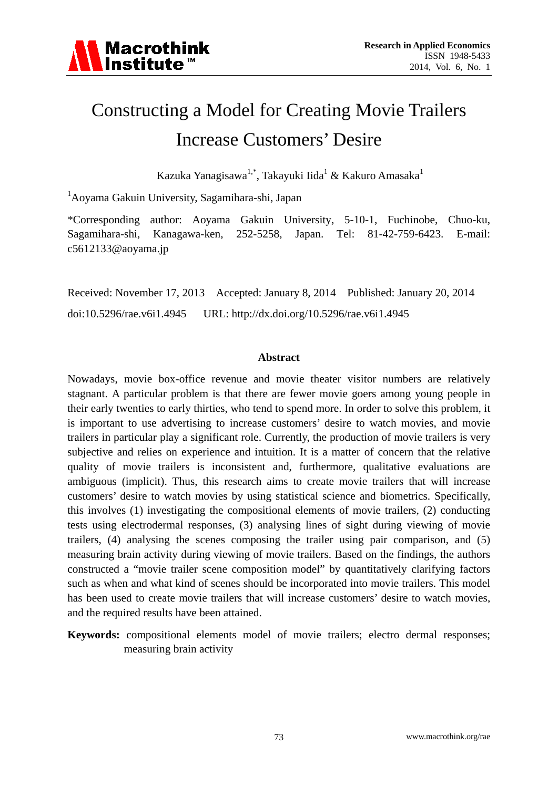

# Constructing a Model for Creating Movie Trailers Increase Customers' Desire

Kazuka Yanagisawa $^{1,*}$ , Takayuki Iida $^1$  & Kakuro Amasaka $^1$ 

1 Aoyama Gakuin University, Sagamihara-shi, Japan

\*Corresponding author: Aoyama Gakuin University, 5-10-1, Fuchinobe, Chuo-ku, Sagamihara-shi, Kanagawa-ken, 252-5258, Japan. Tel: 81-42-759-6423. E-mail: c5612133@aoyama.jp

Received: November 17, 2013 Accepted: January 8, 2014 Published: January 20, 2014 doi:10.5296/rae.v6i1.4945 URL: http://dx.doi.org/10.5296/rae.v6i1.4945

#### **Abstract**

Nowadays, movie box-office revenue and movie theater visitor numbers are relatively stagnant. A particular problem is that there are fewer movie goers among young people in their early twenties to early thirties, who tend to spend more. In order to solve this problem, it is important to use advertising to increase customers' desire to watch movies, and movie trailers in particular play a significant role. Currently, the production of movie trailers is very subjective and relies on experience and intuition. It is a matter of concern that the relative quality of movie trailers is inconsistent and, furthermore, qualitative evaluations are ambiguous (implicit). Thus, this research aims to create movie trailers that will increase customers' desire to watch movies by using statistical science and biometrics. Specifically, this involves (1) investigating the compositional elements of movie trailers, (2) conducting tests using electrodermal responses, (3) analysing lines of sight during viewing of movie trailers, (4) analysing the scenes composing the trailer using pair comparison, and (5) measuring brain activity during viewing of movie trailers. Based on the findings, the authors constructed a "movie trailer scene composition model" by quantitatively clarifying factors such as when and what kind of scenes should be incorporated into movie trailers. This model has been used to create movie trailers that will increase customers' desire to watch movies, and the required results have been attained.

**Keywords:** compositional elements model of movie trailers; electro dermal responses; measuring brain activity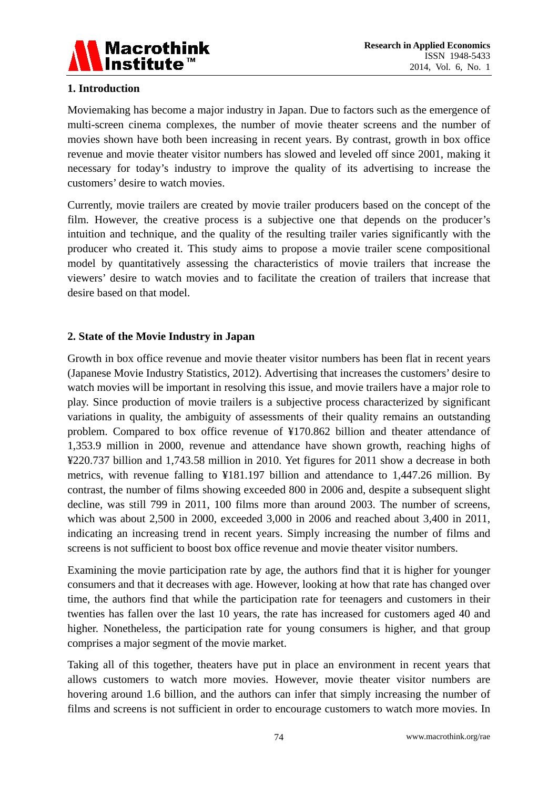

### **1. Introduction**

Moviemaking has become a major industry in Japan. Due to factors such as the emergence of multi-screen cinema complexes, the number of movie theater screens and the number of movies shown have both been increasing in recent years. By contrast, growth in box office revenue and movie theater visitor numbers has slowed and leveled off since 2001, making it necessary for today's industry to improve the quality of its advertising to increase the customers' desire to watch movies.

Currently, movie trailers are created by movie trailer producers based on the concept of the film. However, the creative process is a subjective one that depends on the producer's intuition and technique, and the quality of the resulting trailer varies significantly with the producer who created it. This study aims to propose a movie trailer scene compositional model by quantitatively assessing the characteristics of movie trailers that increase the viewers' desire to watch movies and to facilitate the creation of trailers that increase that desire based on that model.

#### **2. State of the Movie Industry in Japan**

Growth in box office revenue and movie theater visitor numbers has been flat in recent years (Japanese Movie Industry Statistics, 2012). Advertising that increases the customers' desire to watch movies will be important in resolving this issue, and movie trailers have a major role to play. Since production of movie trailers is a subjective process characterized by significant variations in quality, the ambiguity of assessments of their quality remains an outstanding problem. Compared to box office revenue of ¥170.862 billion and theater attendance of 1,353.9 million in 2000, revenue and attendance have shown growth, reaching highs of ¥220.737 billion and 1,743.58 million in 2010. Yet figures for 2011 show a decrease in both metrics, with revenue falling to ¥181.197 billion and attendance to 1,447.26 million. By contrast, the number of films showing exceeded 800 in 2006 and, despite a subsequent slight decline, was still 799 in 2011, 100 films more than around 2003. The number of screens, which was about 2,500 in 2000, exceeded 3,000 in 2006 and reached about 3,400 in 2011, indicating an increasing trend in recent years. Simply increasing the number of films and screens is not sufficient to boost box office revenue and movie theater visitor numbers.

Examining the movie participation rate by age, the authors find that it is higher for younger consumers and that it decreases with age. However, looking at how that rate has changed over time, the authors find that while the participation rate for teenagers and customers in their twenties has fallen over the last 10 years, the rate has increased for customers aged 40 and higher. Nonetheless, the participation rate for young consumers is higher, and that group comprises a major segment of the movie market.

Taking all of this together, theaters have put in place an environment in recent years that allows customers to watch more movies. However, movie theater visitor numbers are hovering around 1.6 billion, and the authors can infer that simply increasing the number of films and screens is not sufficient in order to encourage customers to watch more movies. In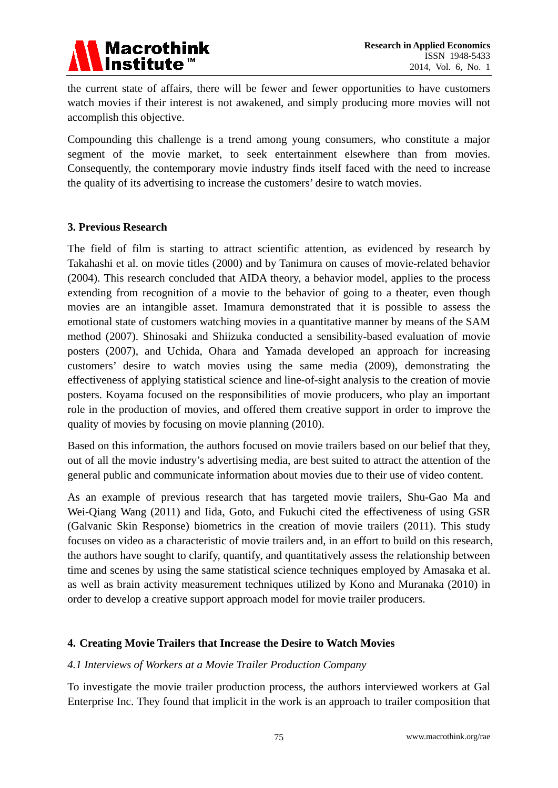

the current state of affairs, there will be fewer and fewer opportunities to have customers watch movies if their interest is not awakened, and simply producing more movies will not accomplish this objective.

Compounding this challenge is a trend among young consumers, who constitute a major segment of the movie market, to seek entertainment elsewhere than from movies. Consequently, the contemporary movie industry finds itself faced with the need to increase the quality of its advertising to increase the customers' desire to watch movies.

#### **3. Previous Research**

The field of film is starting to attract scientific attention, as evidenced by research by Takahashi et al. on movie titles (2000) and by Tanimura on causes of movie-related behavior (2004). This research concluded that AIDA theory, a behavior model, applies to the process extending from recognition of a movie to the behavior of going to a theater, even though movies are an intangible asset. Imamura demonstrated that it is possible to assess the emotional state of customers watching movies in a quantitative manner by means of the SAM method (2007). Shinosaki and Shiizuka conducted a sensibility-based evaluation of movie posters (2007), and Uchida, Ohara and Yamada developed an approach for increasing customers' desire to watch movies using the same media (2009), demonstrating the effectiveness of applying statistical science and line-of-sight analysis to the creation of movie posters. Koyama focused on the responsibilities of movie producers, who play an important role in the production of movies, and offered them creative support in order to improve the quality of movies by focusing on movie planning (2010).

Based on this information, the authors focused on movie trailers based on our belief that they, out of all the movie industry's advertising media, are best suited to attract the attention of the general public and communicate information about movies due to their use of video content.

As an example of previous research that has targeted movie trailers, Shu-Gao Ma and Wei-Qiang Wang (2011) and Iida, Goto, and Fukuchi cited the effectiveness of using GSR (Galvanic Skin Response) biometrics in the creation of movie trailers (2011). This study focuses on video as a characteristic of movie trailers and, in an effort to build on this research, the authors have sought to clarify, quantify, and quantitatively assess the relationship between time and scenes by using the same statistical science techniques employed by Amasaka et al. as well as brain activity measurement techniques utilized by Kono and Muranaka (2010) in order to develop a creative support approach model for movie trailer producers.

#### **4. Creating Movie Trailers that Increase the Desire to Watch Movies**

#### *4.1 Interviews of Workers at a Movie Trailer Production Company*

To investigate the movie trailer production process, the authors interviewed workers at Gal Enterprise Inc. They found that implicit in the work is an approach to trailer composition that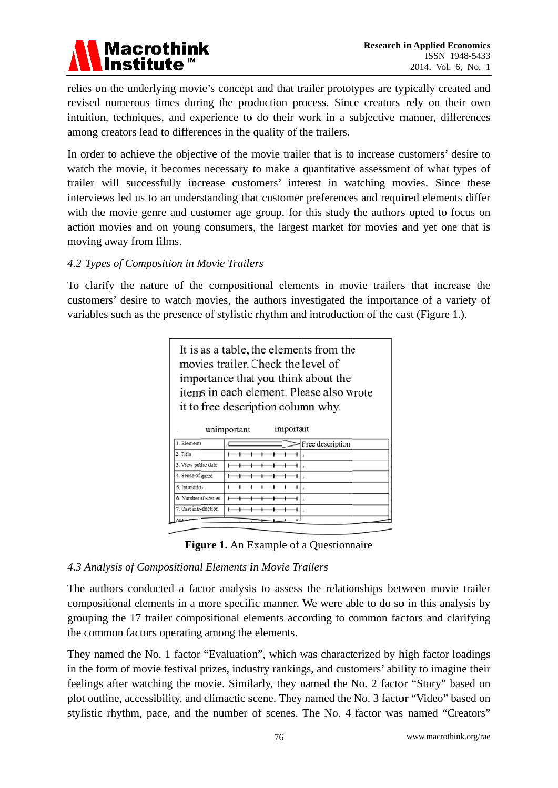

relies on the underlying movie's concept and that trailer prototypes are typically created and revised numerous times during the production process. Since creators rely on their own intuition, techniques, and experience to do their work in a subjective manner, differences among creators lead to differences in the quality of the trailers.

In order to achieve the objective of the movie trailer that is to increase customers' desire to watch the movie, it becomes necessary to make a quantitative assessment of what types of trailer will successfully increase customers' interest in watching movies. Since these interviews led us to an understanding that customer preferences and required elements differ with the movie genre and customer age group, for this study the authors opted to focus on action movies and on young consumers, the largest market for movies and yet one that is moving away from films.

#### 4.2 Types of Composition in Movie Trailers

To clarify the nature of the compositional elements in movie trailers that increase the customers' desire to watch movies, the authors investigated the importance of a variety of variables such as the presence of stylistic rhythm and introduction of the cast (Figure 1.).

| It is as a table, the elements from the  |
|------------------------------------------|
| movies trailer. Check the level of       |
| importance that you think about the      |
| items in each element. Please also wrote |
| it to free description column why.       |
| $\ldots$<br>imn                          |

|                      | unimportant<br>important |
|----------------------|--------------------------|
| 1. Elements          | Free description         |
| 2. Title             |                          |
| 3. View public date  |                          |
| 4. Sense of speed    |                          |
| 5. Intonation        |                          |
| 6. Number of scenes  |                          |
| 7. Cast introduction |                          |
| 78453                |                          |



#### 4.3 Analysis of Compositional Elements in Movie Trailers

The authors conducted a factor analysis to assess the relationships between movie trailer compositional elements in a more specific manner. We were able to do so in this analysis by grouping the 17 trailer compositional elements according to common factors and clarifying the common factors operating among the elements.

They named the No. 1 factor "Evaluation", which was characterized by high factor loadings in the form of movie festival prizes, industry rankings, and customers' ability to imagine their feelings after watching the movie. Similarly, they named the No. 2 factor "Story" based on plot outline, accessibility, and climactic scene. They named the No. 3 factor "Video" based on stylistic rhythm, pace, and the number of scenes. The No. 4 factor was named "Creators"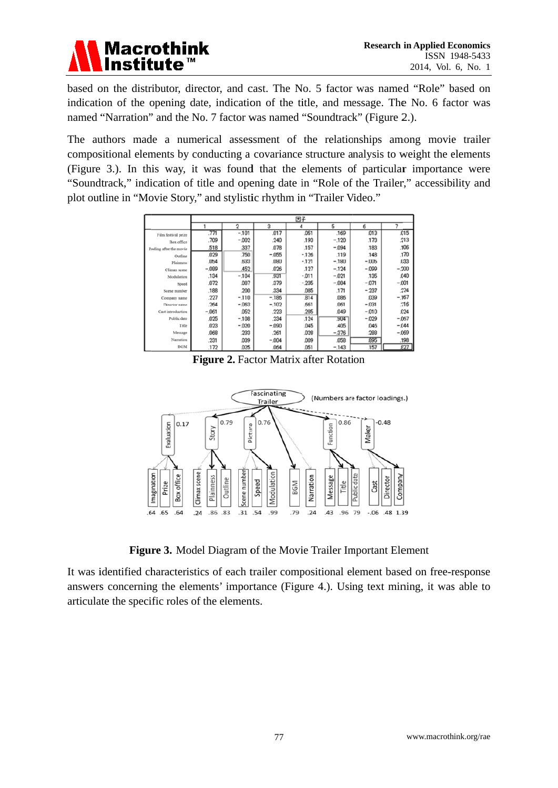

based on the distributor, director, and cast. The No. 5 factor was named "Role" based on indication of the opening date, indication of the title, and message. The No. 6 factor was named "Narration" and the No. 7 factor was named "Soundtrack" (Figure 2.).

The authors made a numerical assessment of the relationships among movie trailer compositional elements by conducting a covariance structure analysis to weight the elements (Figure 3.). In this way, it was found that the elements of particular importance were "Soundtrack," indication of title and opening date in "Role of the Trailer," accessibility and plot outline in "Movie Story," and stylistic rhythm in "Trailer Video."

|                         | 因子      |          |         |        |            |         |         |  |  |
|-------------------------|---------|----------|---------|--------|------------|---------|---------|--|--|
|                         |         | 2        | 3       |        | 5          | 6       |         |  |  |
| Film festival prize     | .771    | $-.101$  | 017     | .051   | .169       | .013    | .015    |  |  |
| Box office              | .709    | $-0.002$ | 240     | .193   | $-.120$    | .173    | .213    |  |  |
| Feeling after the movie | .518    | .337     | .078    | .157   | $-0.94$    | .183    | .106    |  |  |
| Outline                 | .029    | .750     | $-055$  | $-126$ | .119       | .148    | .170    |  |  |
| Plainness               | .054    | .633     | .080    | $-121$ | $-.180$    | $-.005$ | ,033    |  |  |
| Climax scene            | $-.089$ | .452     | .026    | .127   | $-.124$    | $-.099$ | $-.200$ |  |  |
| Modulation              | .134    | $-.104$  | 931     | $-011$ | $-0.021$   | .135    | .040    |  |  |
| Speed                   | .072    | .087     | 379     | $-235$ | $-084$     | $-0.71$ | $-.001$ |  |  |
| Scene number            | .188    | .200     | 334     | .085   | .171       | $-.237$ | .224    |  |  |
| Company name            | .227    | $-.110$  | $-186$  | 814    | .086       | ,039    | $-.167$ |  |  |
| Director name           | .264    | $-063$   | $-102$  | 661    | .061       | $-031$  | .216    |  |  |
| Cast introduction       | $-061$  | .052     | .223    | .285   | 049        | $-010$  | 024     |  |  |
| Public date             | .025    | $-.108$  | .234    | .124   | <b>904</b> | $-0.29$ | $-067$  |  |  |
| Title                   | .023    | $-0.20$  | $-0.90$ | .045   | 405        | .046    | $-0.44$ |  |  |
| Message                 | .068    | .233     | .261    | .028   | $-376$     | .288    | $-.069$ |  |  |
| Narration               | .231    | .039     | $-004$  | .009   | .058       | 895     | .198    |  |  |
| <b>BGM</b>              | .172    | .025     | .064    | .051   | $-143$     | .157    | 827     |  |  |

Figure 2. Factor Matrix after Rotation



Figure 3. Model Diagram of the Movie Trailer Important Element

It was identified characteristics of each trailer compositional element based on free-response answers concerning the elements' importance (Figure 4.). Using text mining, it was able to articulate the specific roles of the elements.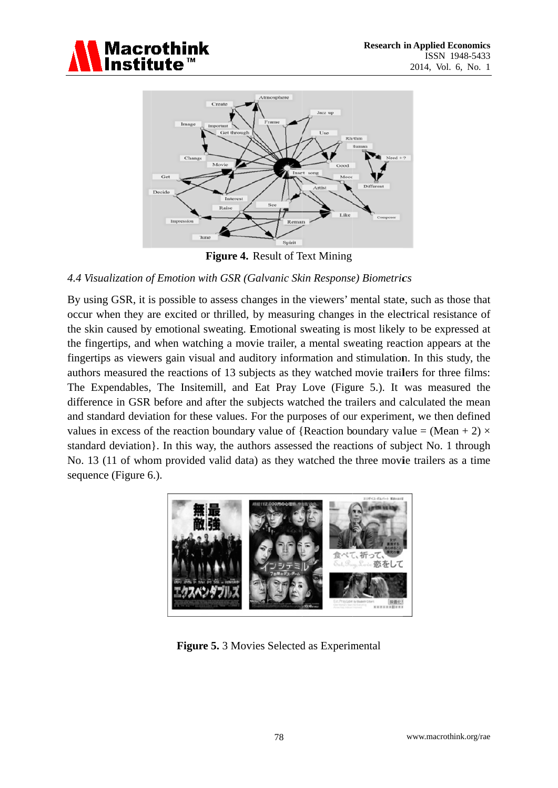



Figure 4. Result of Text Mining

#### 4.4 Visualization of Emotion with GSR (Galvanic Skin Response) Biometrics

By using GSR, it is possible to assess changes in the viewers' mental state, such as those that occur when they are excited or thrilled, by measuring changes in the electrical resistance of the skin caused by emotional sweating. Emotional sweating is most likely to be expressed at the fingertips, and when watching a movie trailer, a mental sweating reaction appears at the fingertips as viewers gain visual and auditory information and stimulation. In this study, the authors measured the reactions of 13 subjects as they watched movie trailers for three films: The Expendables, The Insitemill, and Eat Pray Love (Figure 5.). It was measured the difference in GSR before and after the subjects watched the trailers and calculated the mean and standard deviation for these values. For the purposes of our experiment, we then defined values in excess of the reaction boundary value of {Reaction boundary value = (Mean + 2)  $\times$ standard deviation. In this way, the authors assessed the reactions of subject No. 1 through No. 13 (11 of whom provided valid data) as they watched the three movie trailers as a time sequence (Figure 6.).



Figure 5. 3 Movies Selected as Experimental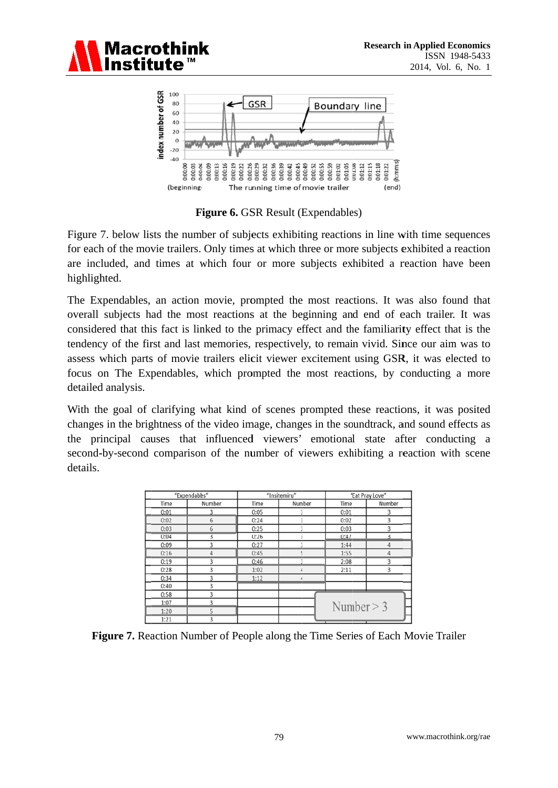



**Figure 6. GSR Result (Expendables)** 

Figure 7. below lists the number of subjects exhibiting reactions in line with time sequences for each of the movie trailers. Only times at which three or more subjects exhibited a reaction are included, and times at which four or more subjects exhibited a reaction have been highlighted.

The Expendables, an action movie, prompted the most reactions. It was also found that overall subjects had the most reactions at the beginning and end of each trailer. It was considered that this fact is linked to the primacy effect and the familiarity effect that is the tendency of the first and last memories, respectively, to remain vivid. Since our aim was to assess which parts of movie trailers elicit viewer excitement using GSR, it was elected to focus on The Expendables, which prompted the most reactions, by conducting a more detailed analysis.

With the goal of clarifying what kind of scenes prompted these reactions, it was posited changes in the brightness of the video image, changes in the soundtrack, and sound effects as the principal causes that influenced viewers' emotional state after conducting a second-by-second comparison of the number of viewers exhibiting a reaction with scene details

| "Expendables" |                          |      | "Insitemiru" | "Eat Pray Love" |                         |  |  |
|---------------|--------------------------|------|--------------|-----------------|-------------------------|--|--|
| Time          | Number                   | Time | Number       | Time            | Number                  |  |  |
| 0:01          |                          | 0:05 |              | 0:01            | 3                       |  |  |
| 0:02          | 6                        | 0:24 | R            | 0:02            | 3                       |  |  |
| 0:03          | 6                        | 0:25 | 3            | 0:03            | 3                       |  |  |
| 0:04          | 3                        | 0:26 | ŝ            | 0:47            | $\overline{\mathbf{z}}$ |  |  |
| 0:09          | $\overline{\mathbf{z}}$  | 0:27 |              | 1:44            |                         |  |  |
| 0:16          | 4                        | 0:45 | 5            | 1:55            | 4                       |  |  |
| 0:19          | 3                        | 0:46 |              | 2:08            | 3                       |  |  |
| 0:28          | 3                        | 1:02 |              | 2:11            | 3                       |  |  |
| 0:34          | 3                        | 1:12 |              |                 |                         |  |  |
| 0:40          | 3                        |      |              |                 |                         |  |  |
| 0:58          | 3                        |      |              |                 |                         |  |  |
| 1:07          | $\overline{\mathcal{X}}$ |      |              |                 |                         |  |  |
| 1:20          | 5                        |      |              | Number $> 3$    |                         |  |  |
| 1:21          | ٩                        |      |              |                 |                         |  |  |

Figure 7. Reaction Number of People along the Time Series of Each Movie Trailer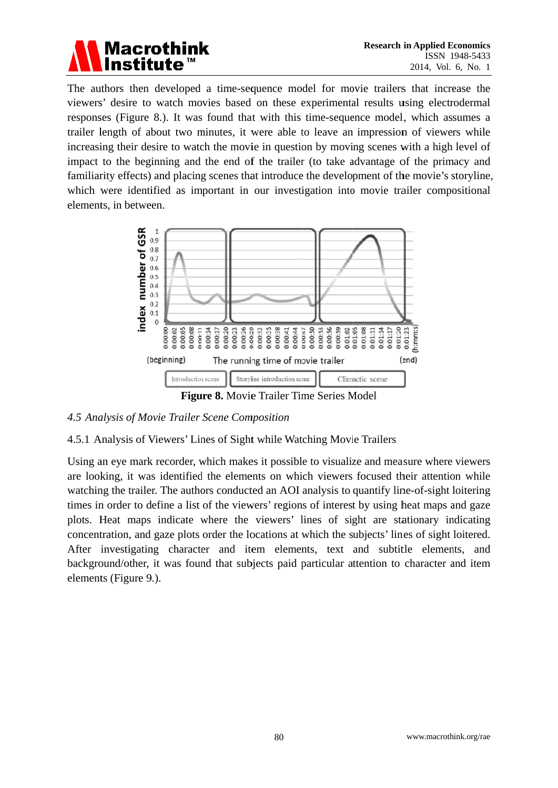

The authors then developed a time-sequence model for movie trailers that increase the viewers' desire to watch movies based on these experimental results using electrodermal responses (Figure 8.). It was found that with this time-sequence model, which assumes a trailer length of about two minutes, it were able to leave an impression of viewers while increasing their desire to watch the movie in question by moving scenes with a high level of impact to the beginning and the end of the trailer (to take advantage of the primacy and familiarity effects) and placing scenes that introduce the development of the movie's storyline, which were identified as important in our investigation into movie trailer compositional elements, in between.



#### 4.5 Analysis of Movie Trailer Scene Composition

#### 4.5.1 Analysis of Viewers' Lines of Sight while Watching Movie Trailers

Using an eve mark recorder, which makes it possible to visualize and measure where viewers are looking, it was identified the elements on which viewers focused their attention while watching the trailer. The authors conducted an AOI analysis to quantify line-of-sight loitering times in order to define a list of the viewers' regions of interest by using heat maps and gaze plots. Heat maps indicate where the viewers' lines of sight are stationary indicating concentration, and gaze plots order the locations at which the subjects' lines of sight loitered. After investigating character and item elements, text and subtitle elements, and background/other, it was found that subjects paid particular attention to character and item elements (Figure 9.).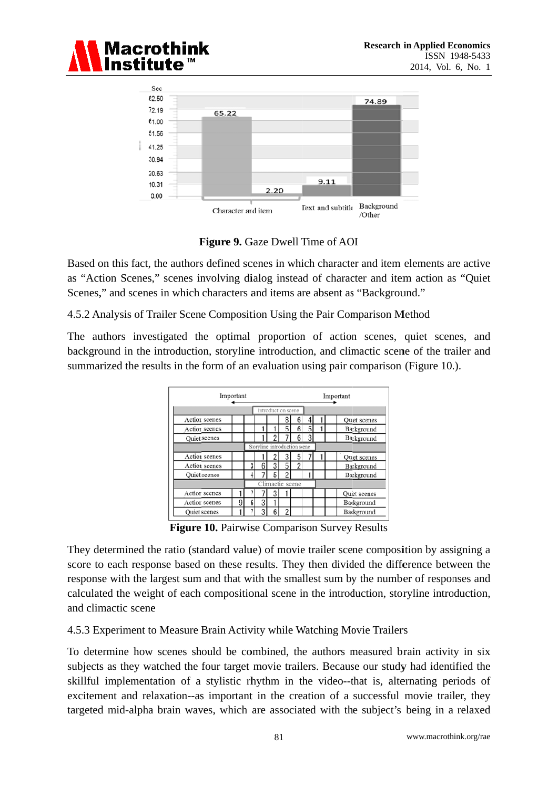



Figure 9. Gaze Dwell Time of AOI

Based on this fact, the authors defined scenes in which character and item elements are active as "Action Scenes," scenes involving dialog instead of character and item action as "Quiet" Scenes," and scenes in which characters and items are absent as "Background."

4.5.2 Analysis of Trailer Scene Composition Using the Pair Comparison Method

The authors investigated the optimal proportion of action scenes, quiet scenes, and background in the introduction, storyline introduction, and climactic scene of the trailer and summarized the results in the form of an evaluation using pair comparison (Figure 10.).

| Important     |                              |                    |   |   |   |                          | Important |  |            |                    |
|---------------|------------------------------|--------------------|---|---|---|--------------------------|-----------|--|------------|--------------------|
|               |                              | Introduction scene |   |   |   |                          |           |  |            |                    |
| Action scenes |                              |                    |   |   | 8 | 6                        |           |  |            | <b>Ouet</b> scenes |
| Action scenes |                              |                    |   |   | 5 | 6                        | 5         |  |            | Background         |
| Quiet scenes  |                              |                    |   |   |   | 6                        | 3         |  | Background |                    |
|               | Storyline introduction scene |                    |   |   |   |                          |           |  |            |                    |
| Action scenes |                              |                    |   |   | 3 | 5                        |           |  |            | Quet scenes        |
| Action scenes |                              | 3                  | 6 | 3 | 5 | $\overline{\phantom{a}}$ |           |  |            | Background         |
| Quiet scenes  |                              |                    |   | 5 | 2 |                          |           |  |            | Background         |
|               | Climactic scene              |                    |   |   |   |                          |           |  |            |                    |
| Action scenes |                              |                    |   |   |   |                          |           |  |            | <b>Ouet</b> scenes |
| Action scenes | 9                            | 6 <sup>1</sup>     | 3 |   |   |                          |           |  |            | Background         |
| Quiet scenes  |                              |                    | 3 | 6 | ŋ |                          |           |  |            | Background         |

Figure 10. Pairwise Comparison Survey Results

They determined the ratio (standard value) of movie trailer scene composition by assigning a score to each response based on these results. They then divided the difference between the response with the largest sum and that with the smallest sum by the number of responses and calculated the weight of each compositional scene in the introduction, storyline introduction, and climactic scene

4.5.3 Experiment to Measure Brain Activity while Watching Movie Trailers

To determine how scenes should be combined, the authors measured brain activity in six subjects as they watched the four target movie trailers. Because our study had identified the skillful implementation of a stylistic rhythm in the video--that is, alternating periods of excitement and relaxation-as important in the creation of a successful movie trailer, they targeted mid-alpha brain waves, which are associated with the subject's being in a relaxed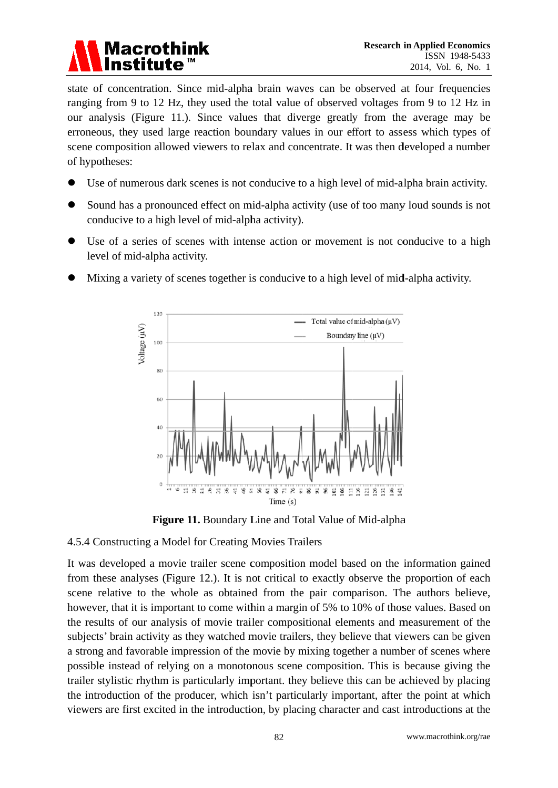# **Macrothink**

state of concentration. Since mid-alpha brain waves can be observed at four frequencies ranging from 9 to 12 Hz, they used the total value of observed voltages from 9 to 12 Hz in our analysis (Figure 11.). Since values that diverge greatly from the average may be erroneous, they used large reaction boundary values in our effort to assess which types of scene composition allowed viewers to relax and concentrate. It was then developed a number of hypotheses:

- Use of numerous dark scenes is not conducive to a high level of mid-alpha brain activity.
- Sound has a pronounced effect on mid-alpha activity (use of too many loud sounds is not conducive to a high level of mid-alpha activity).
- $\bullet$ Use of a series of scenes with intense action or movement is not conducive to a high level of mid-alpha activity.
	- 120 Total value of mid-alpha $(\mu V)$ Voltage (µV) Boundary line  $(\mu V)$ 100 80 60  $AC$  $\overline{\chi}$  $\theta$  $\tilde{\Xi}$  $\vec{z}$  $\tilde{\mathcal{S}}$ E χò.  $\overline{\mathbf{x}}$  $\ddot{\mathbf{x}}$  $\ddot{x}$  $\Xi$ i@  $\Xi$   $\frac{8}{16}$  $\frac{11}{16}$ **图** 星 ×,  $\Xi$  $Time(s)$
- Mixing a variety of scenes together is conducive to a high level of mid-alpha activity.

Figure 11. Boundary Line and Total Value of Mid-alpha

# 4.5.4 Constructing a Model for Creating Movies Trailers

It was developed a movie trailer scene composition model based on the information gained from these analyses (Figure 12.). It is not critical to exactly observe the proportion of each scene relative to the whole as obtained from the pair comparison. The authors believe, however, that it is important to come within a margin of 5% to 10% of those values. Based on the results of our analysis of movie trailer compositional elements and measurement of the subjects' brain activity as they watched movie trailers, they believe that viewers can be given a strong and favorable impression of the movie by mixing together a number of scenes where possible instead of relying on a monotonous scene composition. This is because giving the trailer stylistic rhythm is particularly important, they believe this can be achieved by placing the introduction of the producer, which isn't particularly important, after the point at which viewers are first excited in the introduction, by placing character and cast introductions at the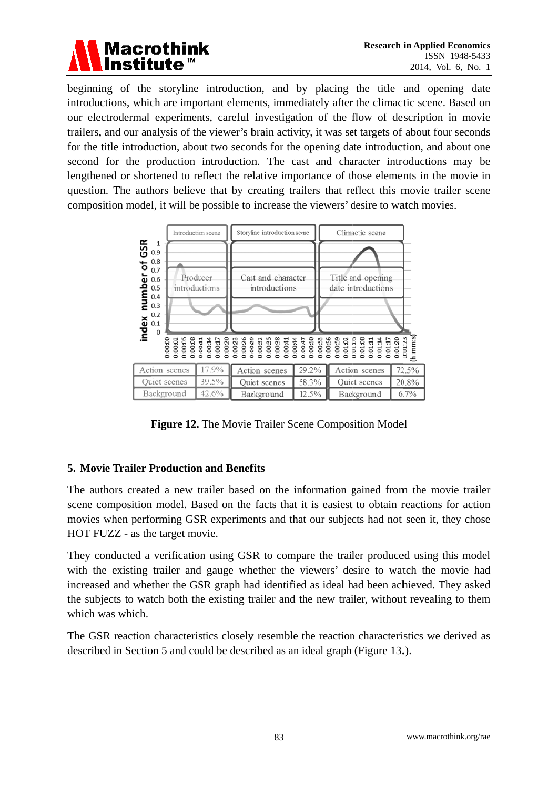

beginning of the storyline introduction, and by placing the title and opening date introductions, which are important elements, immediately after the climactic scene. Based on our electrodermal experiments, careful investigation of the flow of description in movie trailers, and our analysis of the viewer's brain activity, it was set targets of about four seconds for the title introduction, about two seconds for the opening date introduction, and about one second for the production introduction. The cast and character introductions may be lengthened or shortened to reflect the relative importance of those elements in the movie in question. The authors believe that by creating trailers that reflect this movie trailer scene composition model, it will be possible to increase the viewers' desire to watch movies.



Figure 12. The Movie Trailer Scene Composition Model

## **5. Movie Trailer Production and Benefits**

The authors created a new trailer based on the information gained from the movie trailer scene composition model. Based on the facts that it is easiest to obtain reactions for action movies when performing GSR experiments and that our subjects had not seen it, they chose HOT FUZZ - as the target movie.

They conducted a verification using GSR to compare the trailer produced using this model with the existing trailer and gauge whether the viewers' desire to watch the movie had increased and whether the GSR graph had identified as ideal had been achieved. They asked the subjects to watch both the existing trailer and the new trailer, without revealing to them which was which.

The GSR reaction characteristics closely resemble the reaction characteristics we derived as described in Section 5 and could be described as an ideal graph (Figure 13.).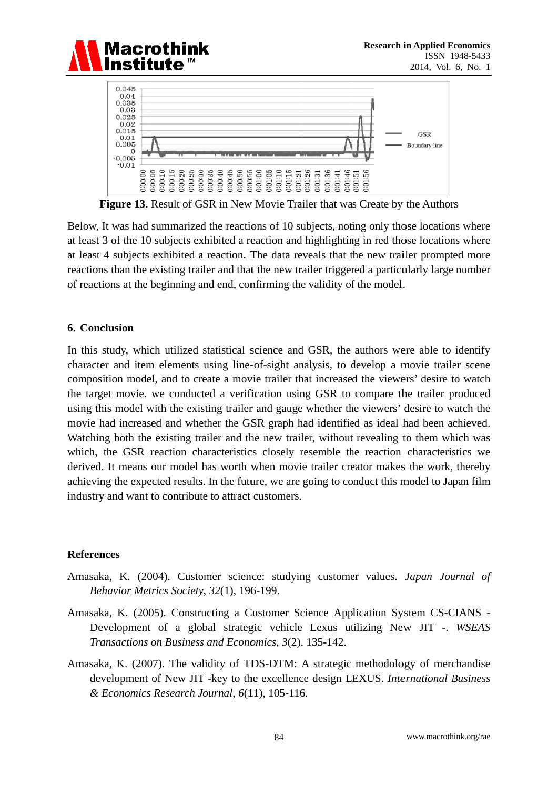



**Figure 13.** Result of GSR in New Movie Trailer that was Create by the Authors

Below. It was had summarized the reactions of 10 subjects, noting only those locations where at least 3 of the 10 subjects exhibited a reaction and highlighting in red those locations where at least 4 subjects exhibited a reaction. The data reveals that the new trailer prompted more reactions than the existing trailer and that the new trailer triggered a particularly large number of reactions at the beginning and end, confirming the validity of the model.

#### 6. Conclusion

In this study, which utilized statistical science and GSR, the authors were able to identify character and item elements using line-of-sight analysis, to develop a movie trailer scene composition model, and to create a movie trailer that increased the viewers' desire to watch the target movie. we conducted a verification using GSR to compare the trailer produced using this model with the existing trailer and gauge whether the viewers' desire to watch the movie had increased and whether the GSR graph had identified as ideal had been achieved. Watching both the existing trailer and the new trailer, without revealing to them which was which, the GSR reaction characteristics closely resemble the reaction characteristics we derived. It means our model has worth when movie trailer creator makes the work, thereby achieving the expected results. In the future, we are going to conduct this model to Japan film industry and want to contribute to attract customers.

#### **References**

- Amasaka, K. (2004). Customer science: studying customer values. Japan Journal of Behavior Metrics Society, 32(1), 196-199.
- Amasaka, K. (2005). Constructing a Customer Science Application System CS-CIANS -Development of a global strategic vehicle Lexus utilizing New JIT -. WSEAS Transactions on Business and Economics, 3(2), 135-142.
- Amasaka, K. (2007). The validity of TDS-DTM: A strategic methodology of merchandise development of New JIT -key to the excellence design LEXUS. International Business & Economics Research Journal, 6(11), 105-116.